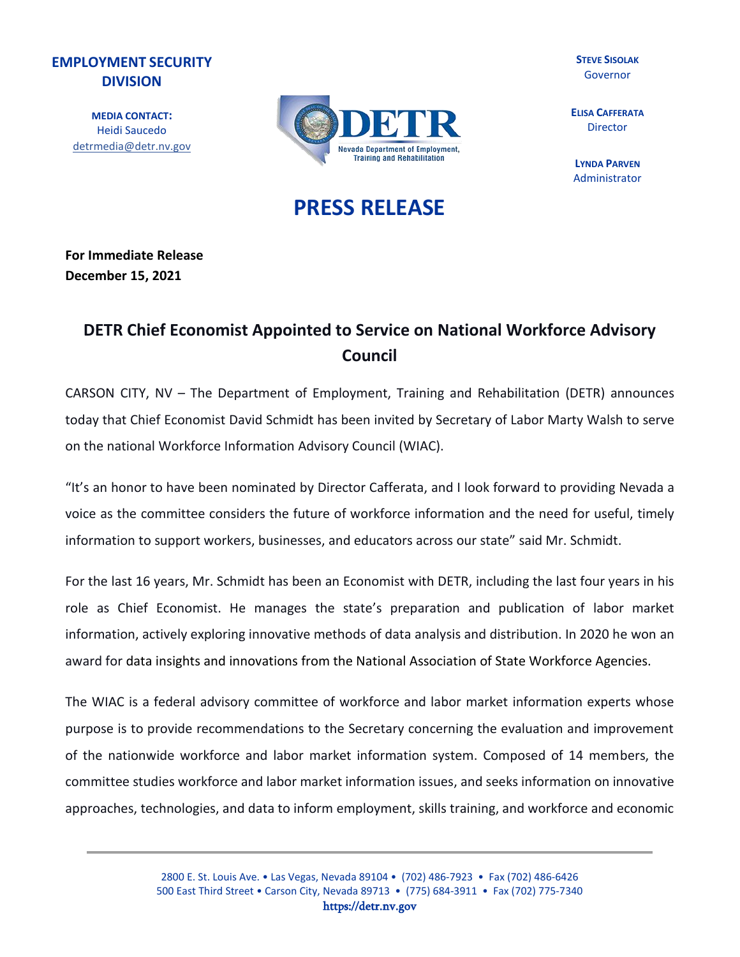## **EMPLOYMENT SECURITY DIVISION**

**MEDIA CONTACT:** Heidi Saucedo [detrmedia@detr.nv.gov](mailto:detrmedia@detr.nv.gov)



**STEVE SISOLAK** Governor

**ELISA CAFFERATA**  Director

**LYNDA PARVEN**  Administrator

## **PRESS RELEASE**

**For Immediate Release December 15, 2021**

## **DETR Chief Economist Appointed to Service on National Workforce Advisory Council**

CARSON CITY, NV – The Department of Employment, Training and Rehabilitation (DETR) announces today that Chief Economist David Schmidt has been invited by Secretary of Labor Marty Walsh to serve on the national Workforce Information Advisory Council (WIAC).

"It's an honor to have been nominated by Director Cafferata, and I look forward to providing Nevada a voice as the committee considers the future of workforce information and the need for useful, timely information to support workers, businesses, and educators across our state" said Mr. Schmidt.

For the last 16 years, Mr. Schmidt has been an Economist with DETR, including the last four years in his role as Chief Economist. He manages the state's preparation and publication of labor market information, actively exploring innovative methods of data analysis and distribution. In 2020 he won an award for data insights and innovations from the National Association of State Workforce Agencies.

The WIAC is a federal advisory committee of workforce and labor market information experts whose purpose is to provide recommendations to the Secretary concerning the evaluation and improvement of the nationwide workforce and labor market information system. Composed of 14 members, the committee studies workforce and labor market information issues, and seeks information on innovative approaches, technologies, and data to inform employment, skills training, and workforce and economic